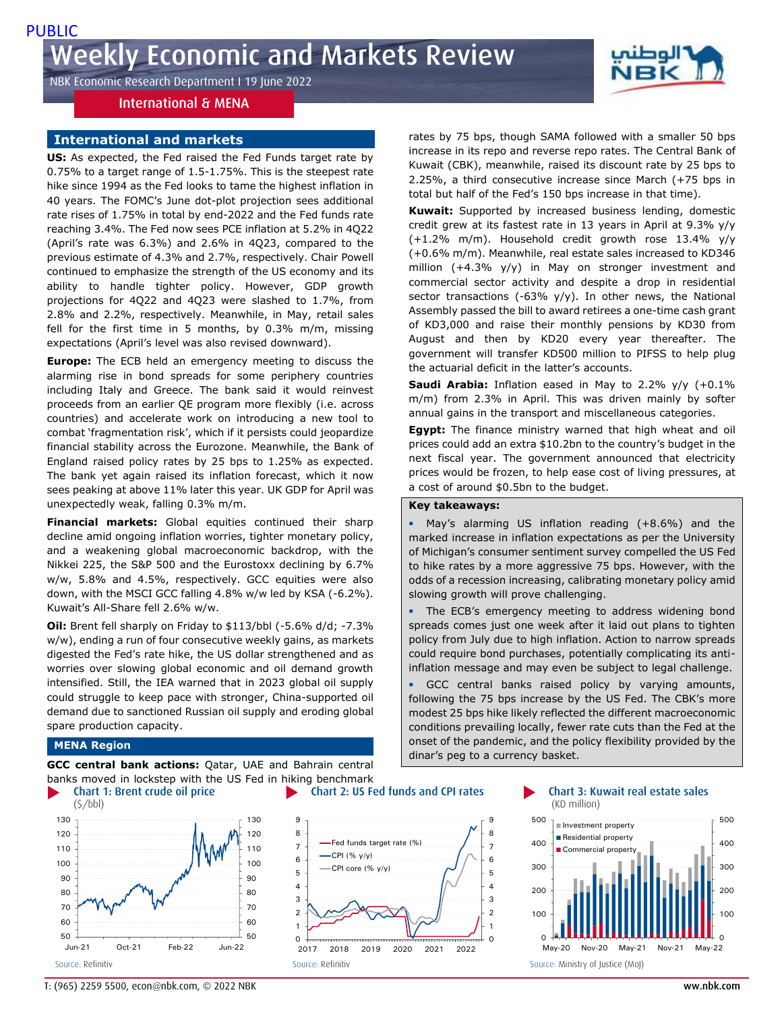NBK Economic Research Department I 19 June 2022

## International & MENA

## **International and markets**

**US:** As expected, the Fed raised the Fed Funds target rate by 0.75% to a target range of 1.5-1.75%. This is the steepest rate hike since 1994 as the Fed looks to tame the highest inflation in 40 years. The FOMC's June dot-plot projection sees additional rate rises of 1.75% in total by end-2022 and the Fed funds rate reaching 3.4%. The Fed now sees PCE inflation at 5.2% in 4Q22 (April's rate was 6.3%) and 2.6% in 4Q23, compared to the previous estimate of 4.3% and 2.7%, respectively. Chair Powell continued to emphasize the strength of the US economy and its ability to handle tighter policy. However, GDP growth projections for 4Q22 and 4Q23 were slashed to 1.7%, from 2.8% and 2.2%, respectively. Meanwhile, in May, retail sales fell for the first time in 5 months, by 0.3% m/m, missing expectations (April's level was also revised downward).

**Europe:** The ECB held an emergency meeting to discuss the alarming rise in bond spreads for some periphery countries including Italy and Greece. The bank said it would reinvest proceeds from an earlier QE program more flexibly (i.e. across countries) and accelerate work on introducing a new tool to combat 'fragmentation risk', which if it persists could jeopardize financial stability across the Eurozone. Meanwhile, the Bank of England raised policy rates by 25 bps to 1.25% as expected. The bank yet again raised its inflation forecast, which it now sees peaking at above 11% later this year. UK GDP for April was unexpectedly weak, falling 0.3% m/m.

**Financial markets:** Global equities continued their sharp decline amid ongoing inflation worries, tighter monetary policy, and a weakening global macroeconomic backdrop, with the Nikkei 225, the S&P 500 and the Eurostoxx declining by 6.7% w/w, 5.8% and 4.5%, respectively. GCC equities were also down, with the MSCI GCC falling 4.8% w/w led by KSA (-6.2%). Kuwait's All-Share fell 2.6% w/w.

**Oil:** Brent fell sharply on Friday to \$113/bbl (-5.6% d/d; -7.3% w/w), ending a run of four consecutive weekly gains, as markets digested the Fed's rate hike, the US dollar strengthened and as worries over slowing global economic and oil demand growth intensified. Still, the IEA warned that in 2023 global oil supply could struggle to keep pace with stronger, China-supported oil demand due to sanctioned Russian oil supply and eroding global spare production capacity.

rates by 75 bps, though SAMA followed with a smaller 50 bps increase in its repo and reverse repo rates. The Central Bank of Kuwait (CBK), meanwhile, raised its discount rate by 25 bps to 2.25%, a third consecutive increase since March (+75 bps in total but half of the Fed's 150 bps increase in that time).

**Kuwait:** Supported by increased business lending, domestic credit grew at its fastest rate in 13 years in April at 9.3% y/y (+1.2% m/m). Household credit growth rose 13.4% y/y (+0.6% m/m). Meanwhile, real estate sales increased to KD346 million (+4.3% y/y) in May on stronger investment and commercial sector activity and despite a drop in residential sector transactions (-63%  $y/y$ ). In other news, the National Assembly passed the bill to award retirees a one-time cash grant of KD3,000 and raise their monthly pensions by KD30 from August and then by KD20 every year thereafter. The government will transfer KD500 million to PIFSS to help plug the actuarial deficit in the latter's accounts.

**Saudi Arabia:** Inflation eased in May to 2.2% y/y (+0.1% m/m) from 2.3% in April. This was driven mainly by softer annual gains in the transport and miscellaneous categories.

**Egypt:** The finance ministry warned that high wheat and oil prices could add an extra \$10.2bn to the country's budget in the next fiscal year. The government announced that electricity prices would be frozen, to help ease cost of living pressures, at a cost of around \$0.5bn to the budget.

## **Key takeaways:**

 May's alarming US inflation reading (+8.6%) and the marked increase in inflation expectations as per the University of Michigan's consumer sentiment survey compelled the US Fed to hike rates by a more aggressive 75 bps. However, with the odds of a recession increasing, calibrating monetary policy amid slowing growth will prove challenging.

 The ECB's emergency meeting to address widening bond spreads comes just one week after it laid out plans to tighten policy from July due to high inflation. Action to narrow spreads could require bond purchases, potentially complicating its antiinflation message and may even be subject to legal challenge.

 GCC central banks raised policy by varying amounts, following the 75 bps increase by the US Fed. The CBK's more modest 25 bps hike likely reflected the different macroeconomic conditions prevailing locally, fewer rate cuts than the Fed at the onset of the pandemic, and the policy flexibility provided by the dinar's peg to a currency basket.

### **MENA Region**

**GCC central bank actions:** Qatar, UAE and Bahrain central banks moved in lockstep with the US Fed in hiking benchmark



0 1 2 3 4 5 6 7 8 9  $\Omega$ 1  $\overline{2}$ 3 4 5 6 7 8 9 2017 2018 2019 2020 2021 2022 Fed funds target rate (%) CPI  $(% y/y)$ CPI core (% y/y)





T: (965) 2259 5500, econ@nbk.com, © 2022 NBK ww.nbk.com